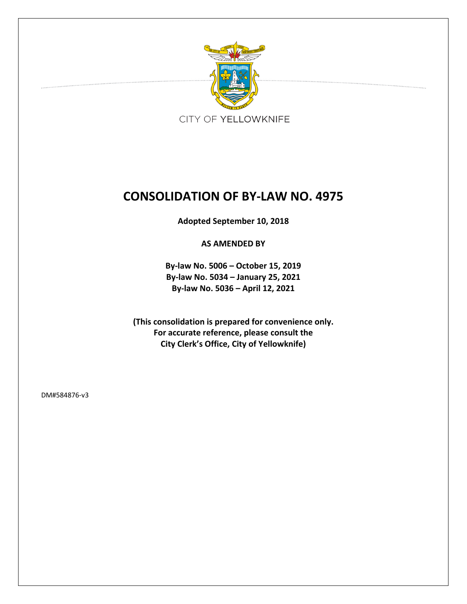

# **CONSOLIDATION OF BY‐LAW NO. 4975**

**Adopted September 10, 2018**

**AS AMENDED BY**

**By‐law No. 5006 – October 15, 2019 By‐law No. 5034 – January 25, 2021 By‐law No. 5036 – April 12, 2021**

**(This consolidation is prepared for convenience only. For accurate reference, please consult the City Clerk's Office, City of Yellowknife)**

DM#584876‐v3

. . . . . . . . . . . . . . . . . . .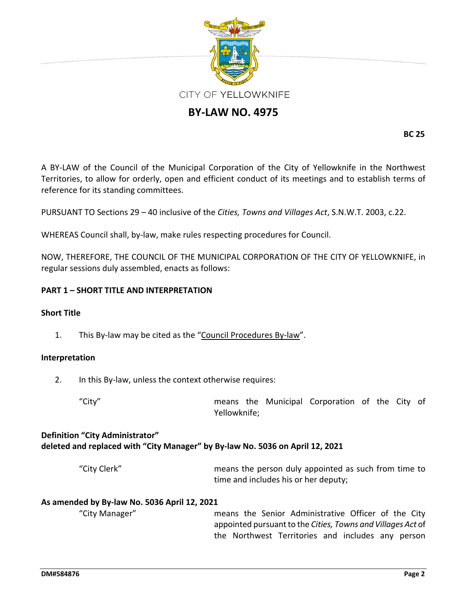

# **BY‐LAW NO. 4975**

**BC 25**

A BY‐LAW of the Council of the Municipal Corporation of the City of Yellowknife in the Northwest Territories, to allow for orderly, open and efficient conduct of its meetings and to establish terms of reference for its standing committees.

PURSUANT TO Sections 29 – 40 inclusive of the *Cities, Towns and Villages Act*, S.N.W.T. 2003, c.22.

WHEREAS Council shall, by‐law, make rules respecting procedures for Council.

NOW, THEREFORE, THE COUNCIL OF THE MUNICIPAL CORPORATION OF THE CITY OF YELLOWKNIFE, in regular sessions duly assembled, enacts as follows:

# **PART 1 – SHORT TITLE AND INTERPRETATION**

#### **Short Title**

1. This By‐law may be cited as the "Council Procedures By‐law".

#### **Interpretation**

2. In this By-law, unless the context otherwise requires:

"City" means the Municipal Corporation of the City of Yellowknife;

# **Definition "City Administrator" deleted and replaced with "City Manager" by By‐law No. 5036 on April 12, 2021**

"City Clerk" means the person duly appointed as such from time to time and includes his or her deputy;

#### **As amended by By‐law No. 5036 April 12, 2021**

"City Manager" means the Senior Administrative Officer of the City appointed pursuantto the *Cities, Towns and Villages Act* of the Northwest Territories and includes any person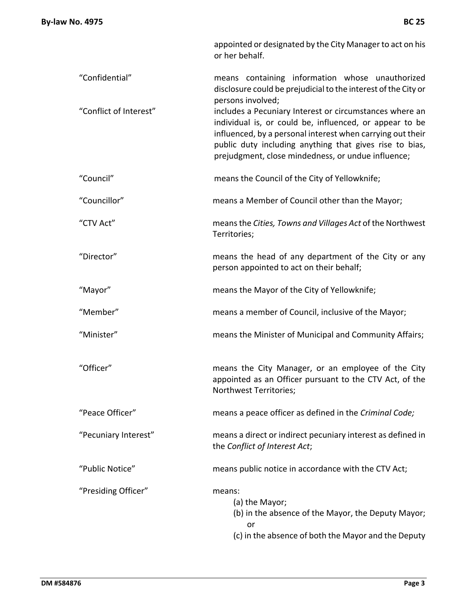- "Confidential" means containing information whose unauthorized disclosure could be prejudicial to the interest of the City or persons involved;
- "Conflict of Interest" includes a Pecuniary Interest or circumstances where an individual is, or could be, influenced, or appear to be influenced, by a personal interest when carrying out their public duty including anything that gives rise to bias, prejudgment, close mindedness, or undue influence;
- "Council" means the Council of the City of Yellowknife;
- "Councillor" means a Member of Council other than the Mayor;
- "CTV Act" meansthe *Cities, Towns and Villages Act* of the Northwest Territories;
- "Director" means the head of any department of the City or any person appointed to act on their behalf;
- "Mayor" means the Mayor of the City of Yellowknife;
- "Member" means a member of Council, inclusive of the Mayor;
- "Minister" means the Minister of Municipal and Community Affairs;
- "Officer" means the City Manager, or an employee of the City appointed as an Officer pursuant to the CTV Act, of the Northwest Territories;
- "Peace Officer" means a peace officer as defined in the *Criminal Code;*
- "Pecuniary Interest" means a direct or indirect pecuniary interest as defined in the *Conflict of Interest Act*;

"Public Notice" means public notice in accordance with the CTV Act;

- "Presiding Officer" means:
	- (a) the Mayor;
	- (b) in the absence of the Mayor, the Deputy Mayor; or
	- (c) in the absence of both the Mayor and the Deputy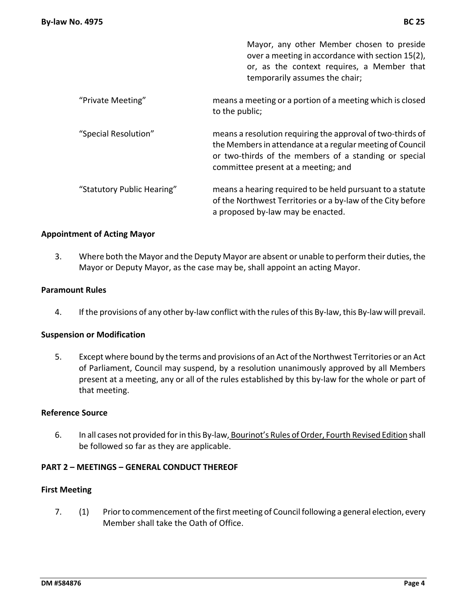|                            | Mayor, any other Member chosen to preside<br>over a meeting in accordance with section 15(2),<br>or, as the context requires, a Member that<br>temporarily assumes the chair;                                           |
|----------------------------|-------------------------------------------------------------------------------------------------------------------------------------------------------------------------------------------------------------------------|
| "Private Meeting"          | means a meeting or a portion of a meeting which is closed<br>to the public;                                                                                                                                             |
| "Special Resolution"       | means a resolution requiring the approval of two-thirds of<br>the Members in attendance at a regular meeting of Council<br>or two-thirds of the members of a standing or special<br>committee present at a meeting; and |
| "Statutory Public Hearing" | means a hearing required to be held pursuant to a statute<br>of the Northwest Territories or a by-law of the City before<br>a proposed by-law may be enacted.                                                           |

#### **Appointment of Acting Mayor**

3. Where both the Mayor and the Deputy Mayor are absent or unable to perform their duties, the Mayor or Deputy Mayor, as the case may be, shall appoint an acting Mayor.

#### **Paramount Rules**

4. If the provisions of any other by-law conflict with the rules of this By-law, this By-law will prevail.

#### **Suspension or Modification**

5. Except where bound by the terms and provisions of an Act of the Northwest Territories or an Act of Parliament, Council may suspend, by a resolution unanimously approved by all Members present at a meeting, any or all of the rules established by this by-law for the whole or part of that meeting.

#### **Reference Source**

6. In all cases not provided for in this By-law, Bourinot's Rules of Order, Fourth Revised Edition shall be followed so far as they are applicable.

#### **PART 2 – MEETINGS – GENERAL CONDUCT THEREOF**

#### **First Meeting**

7. (1) Prior to commencement of the first meeting of Council following a general election, every Member shall take the Oath of Office.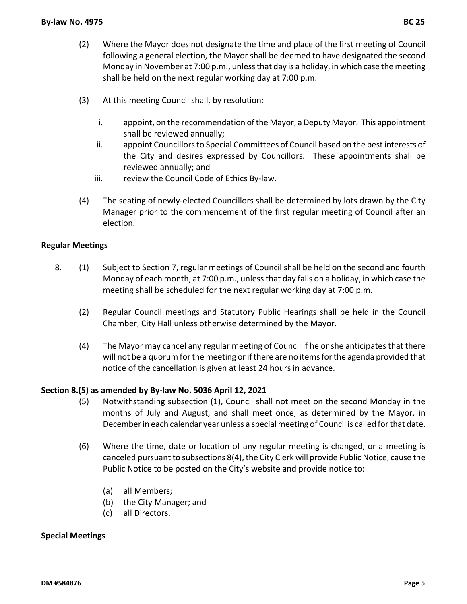- (2) Where the Mayor does not designate the time and place of the first meeting of Council following a general election, the Mayor shall be deemed to have designated the second Monday in November at 7:00 p.m., unless that day is a holiday, in which case the meeting shall be held on the next regular working day at 7:00 p.m.
- (3) At this meeting Council shall, by resolution:
	- i. appoint, on the recommendation ofthe Mayor, a Deputy Mayor. This appointment shall be reviewed annually;
	- ii. appoint Councillors to Special Committees of Council based on the best interests of the City and desires expressed by Councillors. These appointments shall be reviewed annually; and
	- iii. review the Council Code of Ethics By‐law.
- (4) The seating of newly‐elected Councillors shall be determined by lots drawn by the City Manager prior to the commencement of the first regular meeting of Council after an election.

# **Regular Meetings**

- 8. (1) Subject to Section 7, regular meetings of Council shall be held on the second and fourth Monday of each month, at 7:00 p.m., unlessthat day falls on a holiday, in which case the meeting shall be scheduled for the next regular working day at 7:00 p.m.
	- (2) Regular Council meetings and Statutory Public Hearings shall be held in the Council Chamber, City Hall unless otherwise determined by the Mayor.
	- (4) The Mayor may cancel any regular meeting of Council if he or she anticipates that there will not be a quorum for the meeting or if there are no items for the agenda provided that notice of the cancellation is given at least 24 hours in advance.

#### **Section 8.(5) as amended by By‐law No. 5036 April 12, 2021**

- (5) Notwithstanding subsection (1), Council shall not meet on the second Monday in the months of July and August, and shall meet once, as determined by the Mayor, in Decemberin each calendar year unless a special meeting of Council is called forthat date.
- (6) Where the time, date or location of any regular meeting is changed, or a meeting is canceled pursuant to subsections 8(4), the City Clerk will provide Public Notice, cause the Public Notice to be posted on the City's website and provide notice to:
	- (a) all Members;
	- (b) the City Manager; and
	- (c) all Directors.

#### **Special Meetings**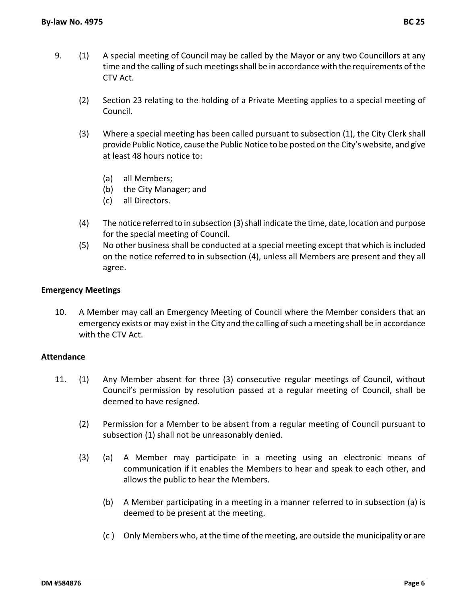- 9. (1) A special meeting of Council may be called by the Mayor or any two Councillors at any time and the calling of such meetings shall be in accordance with the requirements of the CTV Act.
	- (2) Section 23 relating to the holding of a Private Meeting applies to a special meeting of Council.
	- (3) Where a special meeting has been called pursuant to subsection (1), the City Clerk shall provide Public Notice, cause the Public Notice to be posted on the City's website, and give at least 48 hours notice to:
		- (a) all Members;
		- (b) the City Manager; and
		- (c) all Directors.
	- (4) The notice referred to in subsection (3) shall indicate the time, date, location and purpose for the special meeting of Council.
	- (5) No other business shall be conducted at a special meeting except that which is included on the notice referred to in subsection (4), unless all Members are present and they all agree.

#### **Emergency Meetings**

10. A Member may call an Emergency Meeting of Council where the Member considers that an emergency exists or may exist in the City and the calling of such a meeting shall be in accordance with the CTV Act.

#### **Attendance**

- 11. (1) Any Member absent for three (3) consecutive regular meetings of Council, without Council's permission by resolution passed at a regular meeting of Council, shall be deemed to have resigned.
	- (2) Permission for a Member to be absent from a regular meeting of Council pursuant to subsection (1) shall not be unreasonably denied.
	- (3) (a) A Member may participate in a meeting using an electronic means of communication if it enables the Members to hear and speak to each other, and allows the public to hear the Members.
		- (b) A Member participating in a meeting in a manner referred to in subsection (a) is deemed to be present at the meeting.
		- (c ) Only Members who, at the time of the meeting, are outside the municipality or are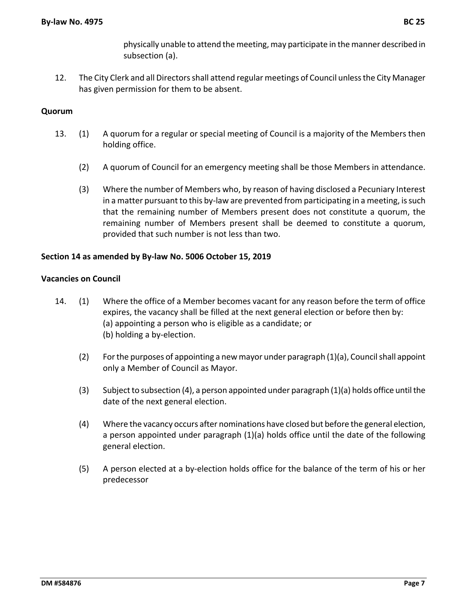physically unable to attend the meeting, may participate in the manner described in subsection (a).

12. The City Clerk and all Directors shall attend regular meetings of Council unless the City Manager has given permission for them to be absent.

# **Quorum**

- 13. (1) A quorum for a regular or special meeting of Council is a majority of the Members then holding office.
	- (2) A quorum of Council for an emergency meeting shall be those Members in attendance.
	- (3) Where the number of Members who, by reason of having disclosed a Pecuniary Interest in a matter pursuant to this by-law are prevented from participating in a meeting, is such that the remaining number of Members present does not constitute a quorum, the remaining number of Members present shall be deemed to constitute a quorum, provided that such number is not less than two.

#### **Section 14 as amended by By‐law No. 5006 October 15, 2019**

#### **Vacancies on Council**

- 14. (1) Where the office of a Member becomes vacant for any reason before the term of office expires, the vacancy shall be filled at the next general election or before then by: (a) appointing a person who is eligible as a candidate; or (b) holding a by‐election.
	- $(2)$  For the purposes of appointing a new mayor under paragraph  $(1)(a)$ , Council shall appoint only a Member of Council as Mayor.
	- (3) Subject to subsection (4), a person appointed under paragraph (1)(a) holds office until the date of the next general election.
	- (4) Where the vacancy occurs after nominations have closed but before the general election, a person appointed under paragraph (1)(a) holds office until the date of the following general election.
	- (5) A person elected at a by‐election holds office for the balance of the term of his or her predecessor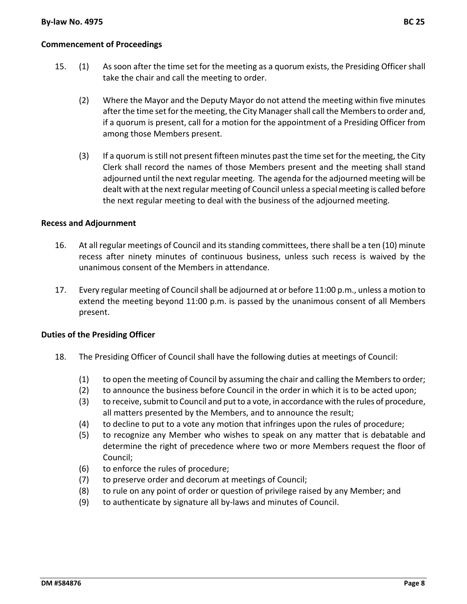# **Commencement of Proceedings**

- 15. (1) As soon after the time set for the meeting as a quorum exists, the Presiding Officer shall take the chair and call the meeting to order.
	- (2) Where the Mayor and the Deputy Mayor do not attend the meeting within five minutes after the time set for the meeting, the City Manager shall call the Members to order and, if a quorum is present, call for a motion for the appointment of a Presiding Officer from among those Members present.
	- (3) If a quorum isstill not present fifteen minutes past the time set for the meeting, the City Clerk shall record the names of those Members present and the meeting shall stand adjourned until the next regular meeting. The agenda for the adjourned meeting will be dealt with at the nextregular meeting of Council unless a special meeting is called before the next regular meeting to deal with the business of the adjourned meeting.

#### **Recess and Adjournment**

- 16. At all regular meetings of Council and itsstanding committees, there shall be a ten (10) minute recess after ninety minutes of continuous business, unless such recess is waived by the unanimous consent of the Members in attendance.
- 17. Every regular meeting of Council shall be adjourned at or before 11:00 p.m., unless a motion to extend the meeting beyond 11:00 p.m. is passed by the unanimous consent of all Members present.

#### **Duties of the Presiding Officer**

- 18. The Presiding Officer of Council shall have the following duties at meetings of Council:
	- (1) to open the meeting of Council by assuming the chair and calling the Membersto order;
	- (2) to announce the business before Council in the order in which it is to be acted upon;
	- (3) to receive, submit to Council and put to a vote, in accordance with the rules of procedure, all matters presented by the Members, and to announce the result;
	- (4) to decline to put to a vote any motion that infringes upon the rules of procedure;
	- (5) to recognize any Member who wishes to speak on any matter that is debatable and determine the right of precedence where two or more Members request the floor of Council;
	- (6) to enforce the rules of procedure;
	- (7) to preserve order and decorum at meetings of Council;
	- (8) to rule on any point of order or question of privilege raised by any Member; and
	- (9) to authenticate by signature all by‐laws and minutes of Council.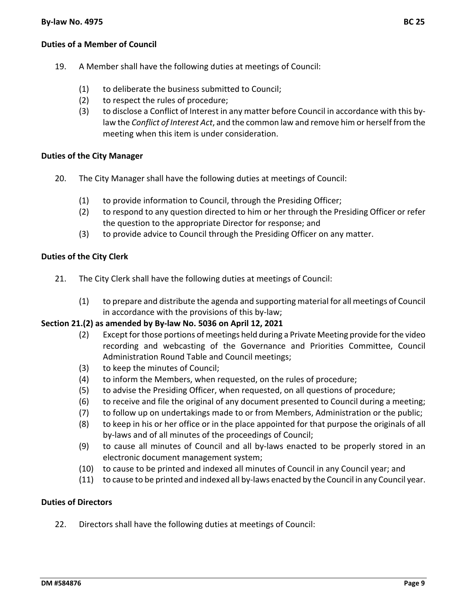# **Duties of a Member of Council**

- 19. A Member shall have the following duties at meetings of Council:
	- (1) to deliberate the business submitted to Council;
	- (2) to respect the rules of procedure;
	- (3) to disclose a Conflict of Interest in any matter before Council in accordance with this by‐ law the *Conflict of Interest Act*, and the common law and remove him or herself from the meeting when this item is under consideration.

#### **Duties of the City Manager**

- 20. The City Manager shall have the following duties at meetings of Council:
	- (1) to provide information to Council, through the Presiding Officer;
	- (2) to respond to any question directed to him or her through the Presiding Officer or refer the question to the appropriate Director for response; and
	- (3) to provide advice to Council through the Presiding Officer on any matter.

#### **Duties of the City Clerk**

- 21. The City Clerk shall have the following duties at meetings of Council:
	- (1) to prepare and distribute the agenda and supporting material for all meetings of Council in accordance with the provisions of this by‐law;

#### **Section 21.(2) as amended by By‐law No. 5036 on April 12, 2021**

- (2) Except forthose portions of meetings held during a Private Meeting provide forthe video recording and webcasting of the Governance and Priorities Committee, Council Administration Round Table and Council meetings;
- (3) to keep the minutes of Council;
- (4) to inform the Members, when requested, on the rules of procedure;
- (5) to advise the Presiding Officer, when requested, on all questions of procedure;
- (6) to receive and file the original of any document presented to Council during a meeting;
- (7) to follow up on undertakings made to or from Members, Administration or the public;
- (8) to keep in his or her office or in the place appointed for that purpose the originals of all by‐laws and of all minutes of the proceedings of Council;
- (9) to cause all minutes of Council and all by‐laws enacted to be properly stored in an electronic document management system;
- (10) to cause to be printed and indexed all minutes of Council in any Council year; and
- (11) to cause to be printed and indexed all by‐laws enacted by the Council in any Council year.

#### **Duties of Directors**

22. Directors shall have the following duties at meetings of Council: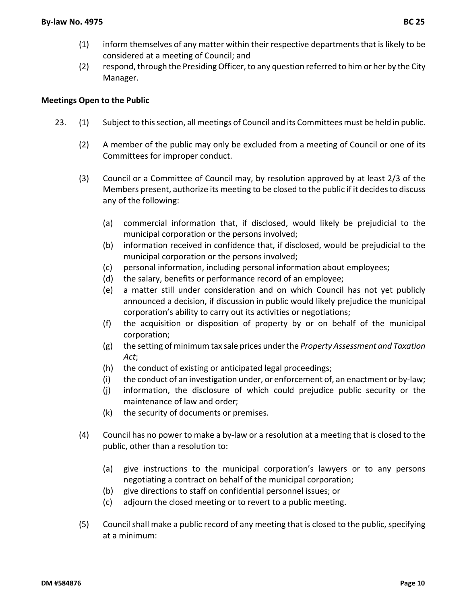- (1) inform themselves of any matter within their respective departmentsthat islikely to be considered at a meeting of Council; and
- (2) respond, through the Presiding Officer, to any question referred to him or her by the City Manager.

# **Meetings Open to the Public**

- 23. (1) Subject to thissection, all meetings of Council and its Committees must be held in public.
	- (2) A member of the public may only be excluded from a meeting of Council or one of its Committees for improper conduct.
	- (3) Council or a Committee of Council may, by resolution approved by at least 2/3 of the Members present, authorize its meeting to be closed to the public if it decidesto discuss any of the following:
		- (a) commercial information that, if disclosed, would likely be prejudicial to the municipal corporation or the persons involved;
		- (b) information received in confidence that, if disclosed, would be prejudicial to the municipal corporation or the persons involved;
		- (c) personal information, including personal information about employees;
		- (d) the salary, benefits or performance record of an employee;
		- (e) a matter still under consideration and on which Council has not yet publicly announced a decision, if discussion in public would likely prejudice the municipal corporation's ability to carry out its activities or negotiations;
		- (f) the acquisition or disposition of property by or on behalf of the municipal corporation;
		- (g) the setting of minimum tax sale prices underthe *Property Assessment and Taxation Act*;
		- (h) the conduct of existing or anticipated legal proceedings;
		- (i) the conduct of an investigation under, or enforcement of, an enactment or by‐law;
		- (j) information, the disclosure of which could prejudice public security or the maintenance of law and order;
		- (k) the security of documents or premises.
	- (4) Council has no power to make a by‐law or a resolution at a meeting that is closed to the public, other than a resolution to:
		- (a) give instructions to the municipal corporation's lawyers or to any persons negotiating a contract on behalf of the municipal corporation;
		- (b) give directions to staff on confidential personnel issues; or
		- (c) adjourn the closed meeting or to revert to a public meeting.
	- (5) Council shall make a public record of any meeting that is closed to the public, specifying at a minimum: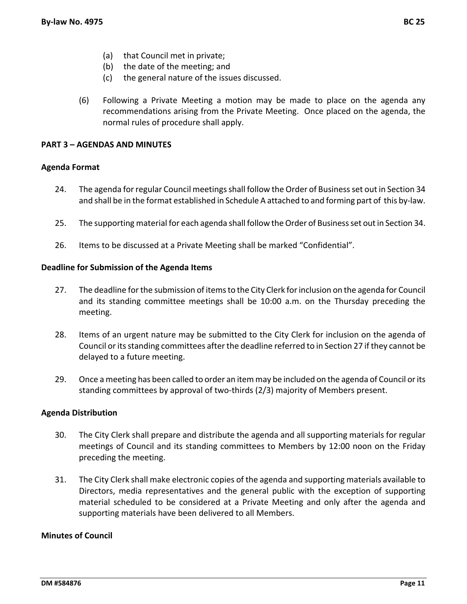- (a) that Council met in private;
- (b) the date of the meeting; and
- (c) the general nature of the issues discussed.
- (6) Following a Private Meeting a motion may be made to place on the agenda any recommendations arising from the Private Meeting. Once placed on the agenda, the normal rules of procedure shall apply.

# **PART 3 – AGENDAS AND MINUTES**

#### **Agenda Format**

- 24. The agenda forregular Council meetingsshall follow the Order of Businessset out in Section 34 and shall be in the format established in Schedule A attached to and forming part of this by‐law.
- 25. The supporting material for each agenda shall follow theOrder of Businessset outin Section 34.
- 26. Items to be discussed at a Private Meeting shall be marked "Confidential".

#### **Deadline for Submission of the Agenda Items**

- 27. The deadline for the submission of items to the City Clerk for inclusion on the agenda for Council and its standing committee meetings shall be 10:00 a.m. on the Thursday preceding the meeting.
- 28. Items of an urgent nature may be submitted to the City Clerk for inclusion on the agenda of Council or its standing committees after the deadline referred to in Section 27 if they cannot be delayed to a future meeting.
- 29. Once a meeting has been called to order an item may be included on the agenda of Council or its standing committees by approval of two‐thirds (2/3) majority of Members present.

#### **Agenda Distribution**

- 30. The City Clerk shall prepare and distribute the agenda and all supporting materials for regular meetings of Council and its standing committees to Members by 12:00 noon on the Friday preceding the meeting.
- 31. The City Clerk shall make electronic copies of the agenda and supporting materials available to Directors, media representatives and the general public with the exception of supporting material scheduled to be considered at a Private Meeting and only after the agenda and supporting materials have been delivered to all Members.

# **Minutes of Council**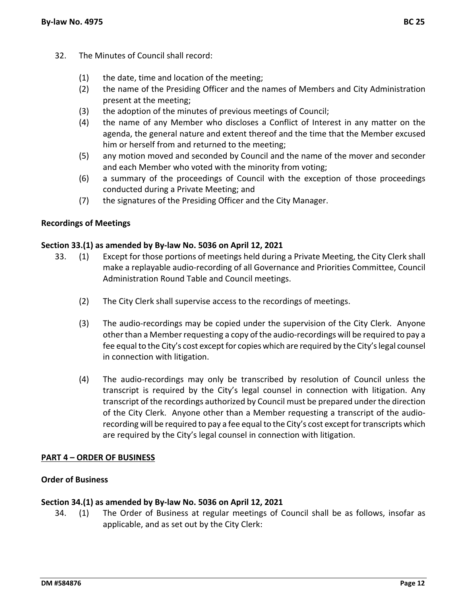- 32. The Minutes of Council shall record:
	- (1) the date, time and location of the meeting;
	- (2) the name of the Presiding Officer and the names of Members and City Administration present at the meeting;
	- (3) the adoption of the minutes of previous meetings of Council;
	- (4) the name of any Member who discloses a Conflict of Interest in any matter on the agenda, the general nature and extent thereof and the time that the Member excused him or herself from and returned to the meeting;
	- (5) any motion moved and seconded by Council and the name of the mover and seconder and each Member who voted with the minority from voting;
	- (6) a summary of the proceedings of Council with the exception of those proceedings conducted during a Private Meeting; and
	- (7) the signatures of the Presiding Officer and the City Manager.

#### **Recordings of Meetings**

#### **Section 33.(1) as amended by By‐law No. 5036 on April 12, 2021**

- 33. (1) Except for those portions of meetings held during a Private Meeting, the City Clerk shall make a replayable audio‐recording of all Governance and Priorities Committee, Council Administration Round Table and Council meetings.
	- (2) The City Clerk shall supervise access to the recordings of meetings.
	- (3) The audio‐recordings may be copied under the supervision of the City Clerk. Anyone other than a Memberrequesting a copy of the audio‐recordings will be required to pay a fee equal to the City's cost except for copies which are required by the City's legal counsel in connection with litigation.
	- (4) The audio‐recordings may only be transcribed by resolution of Council unless the transcript is required by the City's legal counsel in connection with litigation. Any transcript of the recordings authorized by Council must be prepared under the direction of the City Clerk. Anyone other than a Member requesting a transcript of the audio‐ recording will be required to pay a fee equal to the City's cost except for transcripts which are required by the City's legal counsel in connection with litigation.

#### **PART 4 – ORDER OF BUSINESS**

#### **Order of Business**

#### **Section 34.(1) as amended by By‐law No. 5036 on April 12, 2021**

34. (1) The Order of Business at regular meetings of Council shall be as follows, insofar as applicable, and as set out by the City Clerk: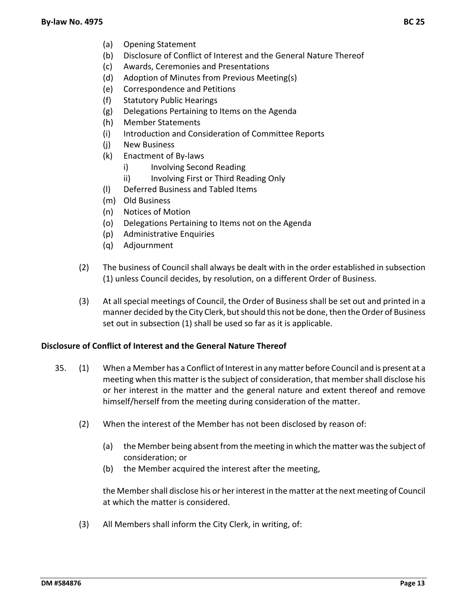- (a) Opening Statement
- (b) Disclosure of Conflict of Interest and the General Nature Thereof
- (c) Awards, Ceremonies and Presentations
- (d) Adoption of Minutes from Previous Meeting(s)
- (e) Correspondence and Petitions
- (f) Statutory Public Hearings
- (g) Delegations Pertaining to Items on the Agenda
- (h) Member Statements
- (i) Introduction and Consideration of Committee Reports
- (j) New Business
- (k) Enactment of By‐laws
	- i) Involving Second Reading
	- ii) Involving First or Third Reading Only
- (l) Deferred Business and Tabled Items
- (m) Old Business
- (n) Notices of Motion
- (o) Delegations Pertaining to Items not on the Agenda
- (p) Administrative Enquiries
- (q) Adjournment
- (2) The business of Council shall always be dealt with in the order established in subsection (1) unless Council decides, by resolution, on a different Order of Business.
- (3) At all special meetings of Council, the Order of Business shall be set out and printed in a manner decided by the City Clerk, but should this not be done, then the Order of Business set out in subsection (1) shall be used so far as it is applicable.

#### **Disclosure of Conflict of Interest and the General Nature Thereof**

- 35. (1) When a Member has a Conflict of Interestin any matter before Council and is present at a meeting when this matter is the subject of consideration, that member shall disclose his or her interest in the matter and the general nature and extent thereof and remove himself/herself from the meeting during consideration of the matter.
	- (2) When the interest of the Member has not been disclosed by reason of:
		- (a) the Member being absent from the meeting in which the matter wasthe subject of consideration; or
		- (b) the Member acquired the interest after the meeting,

the Member shall disclose his or her interest in the matter at the next meeting of Council at which the matter is considered.

(3) All Members shall inform the City Clerk, in writing, of: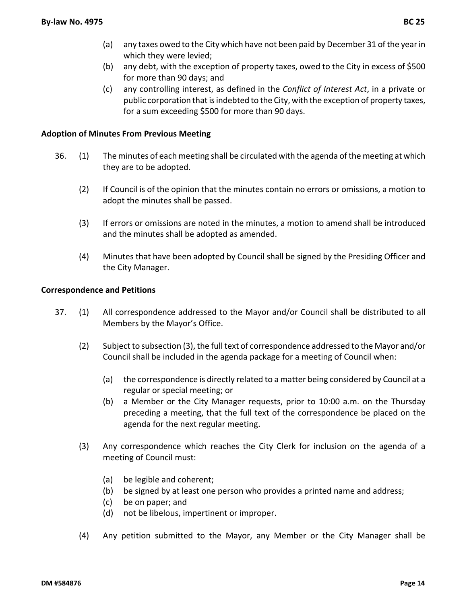- (b) any debt, with the exception of property taxes, owed to the City in excess of \$500 for more than 90 days; and
- (c) any controlling interest, as defined in the *Conflict of Interest Act*, in a private or public corporation that is indebted to the City, with the exception of property taxes, for a sum exceeding \$500 for more than 90 days.

# **Adoption of Minutes From Previous Meeting**

- 36. (1) The minutes of each meeting shall be circulated with the agenda of the meeting at which they are to be adopted.
	- (2) If Council is of the opinion that the minutes contain no errors or omissions, a motion to adopt the minutes shall be passed.
	- (3) If errors or omissions are noted in the minutes, a motion to amend shall be introduced and the minutes shall be adopted as amended.
	- (4) Minutes that have been adopted by Council shall be signed by the Presiding Officer and the City Manager.

#### **Correspondence and Petitions**

- 37. (1) All correspondence addressed to the Mayor and/or Council shall be distributed to all Members by the Mayor's Office.
	- (2) Subject to subsection (3), the full text of correspondence addressed to the Mayor and/or Council shall be included in the agenda package for a meeting of Council when:
		- (a) the correspondence is directly related to a matter being considered by Council at a regular or special meeting; or
		- (b) a Member or the City Manager requests, prior to 10:00 a.m. on the Thursday preceding a meeting, that the full text of the correspondence be placed on the agenda for the next regular meeting.
	- (3) Any correspondence which reaches the City Clerk for inclusion on the agenda of a meeting of Council must:
		- (a) be legible and coherent;
		- (b) be signed by at least one person who provides a printed name and address;
		- (c) be on paper; and
		- (d) not be libelous, impertinent or improper.
	- (4) Any petition submitted to the Mayor, any Member or the City Manager shall be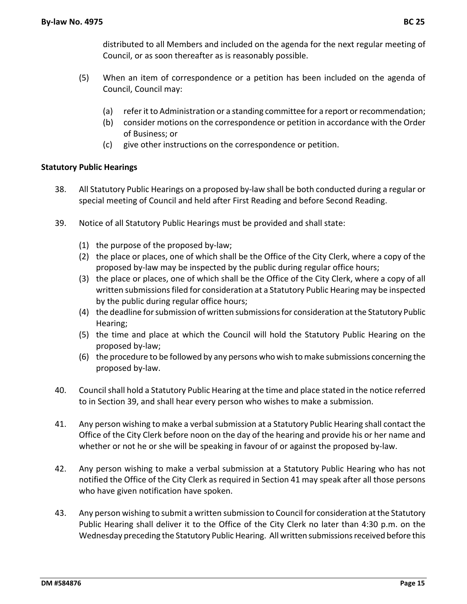distributed to all Members and included on the agenda for the next regular meeting of Council, or as soon thereafter as is reasonably possible.

- (5) When an item of correspondence or a petition has been included on the agenda of Council, Council may:
	- (a) referit to Administration or a standing committee for a report orrecommendation;
	- (b) consider motions on the correspondence or petition in accordance with the Order of Business; or
	- (c) give other instructions on the correspondence or petition.

# **Statutory Public Hearings**

- 38. All Statutory Public Hearings on a proposed by-law shall be both conducted during a regular or special meeting of Council and held after First Reading and before Second Reading.
- 39. Notice of all Statutory Public Hearings must be provided and shall state:
	- (1) the purpose of the proposed by‐law;
	- (2) the place or places, one of which shall be the Office of the City Clerk, where a copy of the proposed by-law may be inspected by the public during regular office hours;
	- (3) the place or places, one of which shall be the Office of the City Clerk, where a copy of all written submissions filed for consideration at a Statutory Public Hearing may be inspected by the public during regular office hours;
	- (4) the deadline forsubmission of written submissionsfor consideration atthe Statutory Public Hearing;
	- (5) the time and place at which the Council will hold the Statutory Public Hearing on the proposed by‐law;
	- (6) the procedure to be followed by any persons who wish tomake submissions concerning the proposed by‐law.
- 40. Councilshall hold a Statutory Public Hearing at the time and place stated in the notice referred to in Section 39, and shall hear every person who wishes to make a submission.
- 41. Any person wishing to make a verbal submission at a Statutory Public Hearing shall contact the Office of the City Clerk before noon on the day of the hearing and provide his or her name and whether or not he or she will be speaking in favour of or against the proposed by‐law.
- 42. Any person wishing to make a verbal submission at a Statutory Public Hearing who has not notified the Office of the City Clerk as required in Section 41 may speak after all those persons who have given notification have spoken.
- 43. Any person wishing to submit a written submission to Council for consideration atthe Statutory Public Hearing shall deliver it to the Office of the City Clerk no later than 4:30 p.m. on the Wednesday preceding the Statutory Public Hearing. All written submissions received before this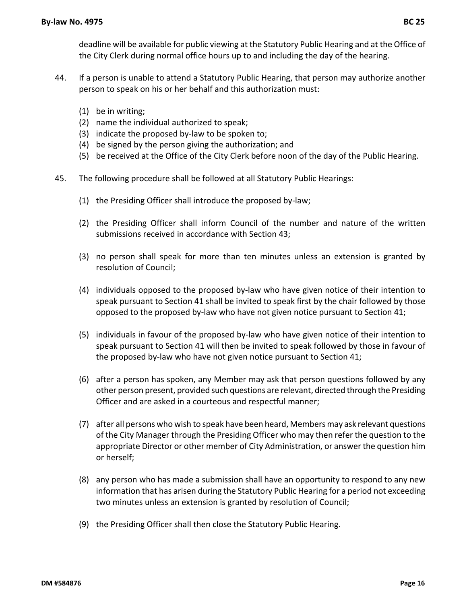deadline will be available for public viewing at the Statutory Public Hearing and at the Office of the City Clerk during normal office hours up to and including the day of the hearing.

- 44. If a person is unable to attend a Statutory Public Hearing, that person may authorize another person to speak on his or her behalf and this authorization must:
	- (1) be in writing;
	- (2) name the individual authorized to speak;
	- (3) indicate the proposed by‐law to be spoken to;
	- (4) be signed by the person giving the authorization; and
	- (5) be received at the Office of the City Clerk before noon of the day of the Public Hearing.
- 45. The following procedure shall be followed at all Statutory Public Hearings:
	- (1) the Presiding Officer shall introduce the proposed by‐law;
	- (2) the Presiding Officer shall inform Council of the number and nature of the written submissions received in accordance with Section 43;
	- (3) no person shall speak for more than ten minutes unless an extension is granted by resolution of Council;
	- (4) individuals opposed to the proposed by‐law who have given notice of their intention to speak pursuant to Section 41 shall be invited to speak first by the chair followed by those opposed to the proposed by‐law who have not given notice pursuant to Section 41;
	- (5) individuals in favour of the proposed by‐law who have given notice of their intention to speak pursuant to Section 41 will then be invited to speak followed by those in favour of the proposed by‐law who have not given notice pursuant to Section 41;
	- (6) after a person has spoken, any Member may ask that person questions followed by any other person present, provided such questions are relevant, directed through the Presiding Officer and are asked in a courteous and respectful manner;
	- (7) after all persons who wish to speak have been heard, Membersmay ask relevant questions of the City Manager through the Presiding Officer who may then refer the question to the appropriate Director or other member of City Administration, or answer the question him or herself;
	- (8) any person who has made a submission shall have an opportunity to respond to any new information that has arisen during the Statutory Public Hearing for a period not exceeding two minutes unless an extension is granted by resolution of Council;
	- (9) the Presiding Officer shall then close the Statutory Public Hearing.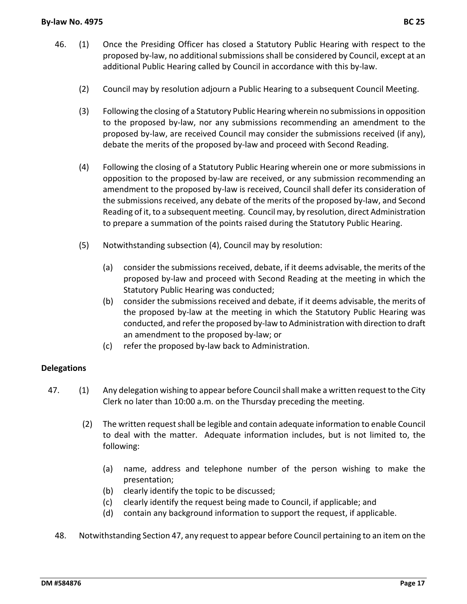- 46. (1) Once the Presiding Officer has closed a Statutory Public Hearing with respect to the proposed by‐law, no additionalsubmissionsshall be considered by Council, except at an additional Public Hearing called by Council in accordance with this by‐law.
	- (2) Council may by resolution adjourn a Public Hearing to a subsequent Council Meeting.
	- (3) Following the closing of a Statutory Public Hearing wherein no submissionsin opposition to the proposed by‐law, nor any submissions recommending an amendment to the proposed by-law, are received Council may consider the submissions received (if any), debate the merits of the proposed by‐law and proceed with Second Reading.
	- (4) Following the closing of a Statutory Public Hearing wherein one or more submissions in opposition to the proposed by‐law are received, or any submission recommending an amendment to the proposed by-law is received, Council shall defer its consideration of the submissions received, any debate of the merits of the proposed by‐law, and Second Reading of it, to a subsequent meeting. Council may, by resolution, direct Administration to prepare a summation of the points raised during the Statutory Public Hearing.
	- (5) Notwithstanding subsection (4), Council may by resolution:
		- (a) consider the submissions received, debate, if it deems advisable, the merits of the proposed by‐law and proceed with Second Reading at the meeting in which the Statutory Public Hearing was conducted;
		- (b) consider the submissions received and debate, if it deems advisable, the merits of the proposed by‐law at the meeting in which the Statutory Public Hearing was conducted, and refer the proposed by-law to Administration with direction to draft an amendment to the proposed by‐law; or
		- (c) refer the proposed by‐law back to Administration.

# **Delegations**

- 47. (1) Any delegation wishing to appear before Councilshall make a written request to the City Clerk no later than 10:00 a.m. on the Thursday preceding the meeting.
	- (2) The written request shall be legible and contain adequate information to enable Council to deal with the matter. Adequate information includes, but is not limited to, the following:
		- (a) name, address and telephone number of the person wishing to make the presentation;
		- (b) clearly identify the topic to be discussed;
		- (c) clearly identify the request being made to Council, if applicable; and
		- (d) contain any background information to support the request, if applicable.
	- 48. Notwithstanding Section 47, any request to appear before Council pertaining to an item on the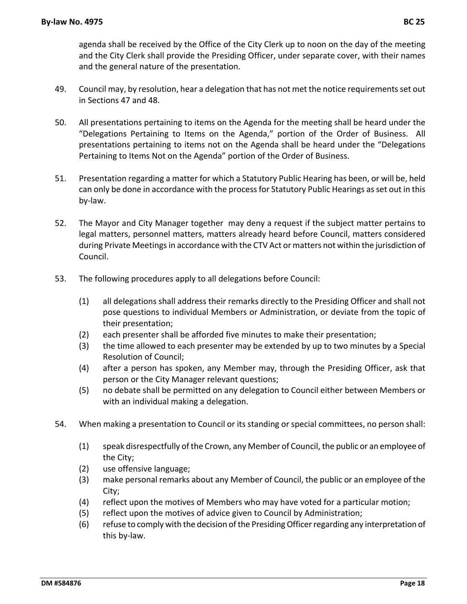agenda shall be received by the Office of the City Clerk up to noon on the day of the meeting and the City Clerk shall provide the Presiding Officer, under separate cover, with their names and the general nature of the presentation.

- 49. Council may, by resolution, hear a delegation that has not met the notice requirements set out in Sections 47 and 48.
- 50. All presentations pertaining to items on the Agenda for the meeting shall be heard under the "Delegations Pertaining to Items on the Agenda," portion of the Order of Business. All presentations pertaining to items not on the Agenda shall be heard under the "Delegations Pertaining to Items Not on the Agenda" portion of the Order of Business.
- 51. Presentation regarding a matter for which a Statutory Public Hearing has been, or will be, held can only be done in accordance with the processfor Statutory Public Hearings asset out in this by‐law.
- 52. The Mayor and City Manager together may deny a request if the subject matter pertains to legal matters, personnel matters, matters already heard before Council, matters considered during Private Meetings in accordance with the CTV Act or matters not within the jurisdiction of Council.
- 53. The following procedures apply to all delegations before Council:
	- (1) all delegations shall address their remarks directly to the Presiding Officer and shall not pose questions to individual Members or Administration, or deviate from the topic of their presentation;
	- (2) each presenter shall be afforded five minutes to make their presentation;
	- (3) the time allowed to each presenter may be extended by up to two minutes by a Special Resolution of Council;
	- (4) after a person has spoken, any Member may, through the Presiding Officer, ask that person or the City Manager relevant questions;
	- (5) no debate shall be permitted on any delegation to Council either between Members or with an individual making a delegation.
- 54. When making a presentation to Council or its standing or special committees, no person shall:
	- (1) speak disrespectfully of the Crown, any Member of Council, the public or an employee of the City;
	- (2) use offensive language;
	- (3) make personal remarks about any Member of Council, the public or an employee of the City;
	- (4) reflect upon the motives of Members who may have voted for a particular motion;
	- (5) reflect upon the motives of advice given to Council by Administration;
	- (6) refuse to comply with the decision of the Presiding Officer regarding any interpretation of this by‐law.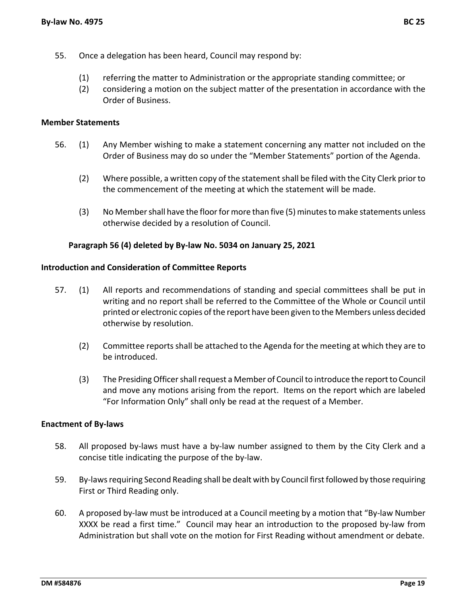- 55. Once a delegation has been heard, Council may respond by:
	- (1) referring the matter to Administration or the appropriate standing committee; or
	- (2) considering a motion on the subject matter of the presentation in accordance with the Order of Business.

#### **Member Statements**

- 56. (1) Any Member wishing to make a statement concerning any matter not included on the Order of Business may do so under the "Member Statements" portion of the Agenda.
	- (2) Where possible, a written copy of the statementshall be filed with the City Clerk prior to the commencement of the meeting at which the statement will be made.
	- (3) No Member shall have the floor for more than five (5) minutes to make statements unless otherwise decided by a resolution of Council.

#### **Paragraph 56 (4) deleted by By‐law No. 5034 on January 25, 2021**

#### **Introduction and Consideration of Committee Reports**

- 57. (1) All reports and recommendations of standing and special committees shall be put in writing and no report shall be referred to the Committee of the Whole or Council until printed or electronic copies ofthe report have been given to the Members unless decided otherwise by resolution.
	- (2) Committee reportsshall be attached to the Agenda for the meeting at which they are to be introduced.
	- (3) The Presiding Officer shall request a Member of Council to introduce the report to Council and move any motions arising from the report. Items on the report which are labeled "For Information Only" shall only be read at the request of a Member.

#### **Enactment of By‐laws**

- 58. All proposed by-laws must have a by-law number assigned to them by the City Clerk and a concise title indicating the purpose of the by‐law.
- 59. By-laws requiring Second Reading shall be dealt with by Council first followed by those requiring First or Third Reading only.
- 60. A proposed by‐law must be introduced at a Council meeting by a motion that "By‐law Number XXXX be read a first time." Council may hear an introduction to the proposed by-law from Administration but shall vote on the motion for First Reading without amendment or debate.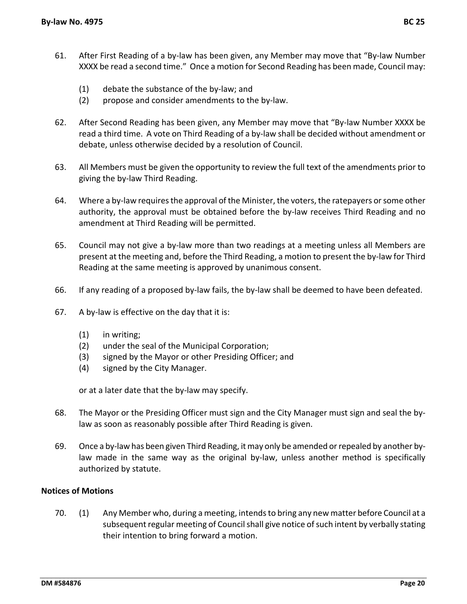- 61. After First Reading of a by‐law has been given, any Member may move that "By‐law Number XXXX be read a second time." Once a motion for Second Reading has been made, Council may:
	- (1) debate the substance of the by‐law; and
	- (2) propose and consider amendments to the by‐law.
- 62. After Second Reading has been given, any Member may move that "By‐law Number XXXX be read a third time. A vote on Third Reading of a by‐law shall be decided without amendment or debate, unless otherwise decided by a resolution of Council.
- 63. All Members must be given the opportunity to review the full text of the amendments prior to giving the by‐law Third Reading.
- 64. Where a by-law requires the approval of the Minister, the voters, the ratepayers or some other authority, the approval must be obtained before the by‐law receives Third Reading and no amendment at Third Reading will be permitted.
- 65. Council may not give a by‐law more than two readings at a meeting unless all Members are present at the meeting and, before the Third Reading, a motion to present the by‐law for Third Reading at the same meeting is approved by unanimous consent.
- 66. If any reading of a proposed by‐law fails, the by‐law shall be deemed to have been defeated.
- 67. A by‐law is effective on the day that it is:
	- (1) in writing;
	- (2) under the seal of the Municipal Corporation;
	- (3) signed by the Mayor or other Presiding Officer; and
	- (4) signed by the City Manager.

or at a later date that the by‐law may specify.

- 68. The Mayor or the Presiding Officer must sign and the City Manager must sign and seal the by‐ law as soon as reasonably possible after Third Reading is given.
- 69. Once a by‐law has been given Third Reading, it may only be amended orrepealed by another by‐ law made in the same way as the original by‐law, unless another method is specifically authorized by statute.

#### **Notices of Motions**

70. (1) Any Member who, during a meeting, intendsto bring any new matter before Council at a subsequent regular meeting of Council shall give notice of such intent by verbally stating their intention to bring forward a motion.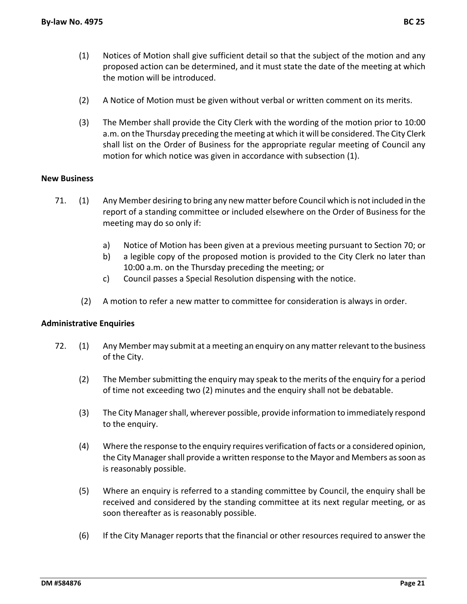- (1) Notices of Motion shall give sufficient detail so that the subject of the motion and any proposed action can be determined, and it must state the date of the meeting at which the motion will be introduced.
- (2) A Notice of Motion must be given without verbal or written comment on its merits.
- (3) The Member shall provide the City Clerk with the wording of the motion prior to 10:00 a.m. on the Thursday preceding the meeting at which it will be considered. The City Clerk shall list on the Order of Business for the appropriate regular meeting of Council any motion for which notice was given in accordance with subsection (1).

# **New Business**

- 71. (1) Any Member desiring to bring any new matter before Council which is notincluded in the report of a standing committee or included elsewhere on the Order of Business for the meeting may do so only if:
	- a) Notice of Motion has been given at a previous meeting pursuant to Section 70; or
	- b) a legible copy of the proposed motion is provided to the City Clerk no later than 10:00 a.m. on the Thursday preceding the meeting; or
	- c) Council passes a Special Resolution dispensing with the notice.
	- (2) A motion to refer a new matter to committee for consideration is always in order.

#### **Administrative Enquiries**

- 72. (1) Any Member may submit at a meeting an enquiry on any matter relevant to the business of the City.
	- (2) The Membersubmitting the enquiry may speak to the merits of the enquiry for a period of time not exceeding two (2) minutes and the enquiry shall not be debatable.
	- (3) The City Managershall, wherever possible, provide information to immediately respond to the enquiry.
	- (4) Where the response to the enquiry requires verification of facts or a considered opinion, the City Manager shall provide a written response to the Mayor and Members as soon as is reasonably possible.
	- (5) Where an enquiry is referred to a standing committee by Council, the enquiry shall be received and considered by the standing committee at its next regular meeting, or as soon thereafter as is reasonably possible.
	- (6) If the City Manager reports that the financial or other resources required to answer the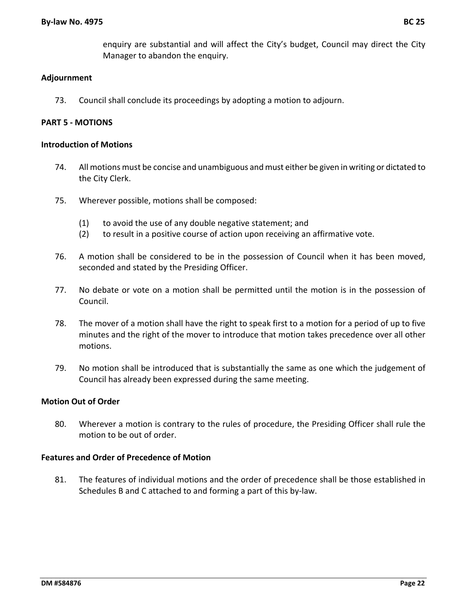enquiry are substantial and will affect the City's budget, Council may direct the City Manager to abandon the enquiry.

# **Adjournment**

73. Council shall conclude its proceedings by adopting a motion to adjourn.

# **PART 5 ‐ MOTIONS**

#### **Introduction of Motions**

- 74. All motions must be concise and unambiguous and must either be given in writing or dictated to the City Clerk.
- 75. Wherever possible, motions shall be composed:
	- (1) to avoid the use of any double negative statement; and
	- (2) to result in a positive course of action upon receiving an affirmative vote.
- 76. A motion shall be considered to be in the possession of Council when it has been moved, seconded and stated by the Presiding Officer.
- 77. No debate or vote on a motion shall be permitted until the motion is in the possession of Council.
- 78. The mover of a motion shall have the right to speak first to a motion for a period of up to five minutes and the right of the mover to introduce that motion takes precedence over all other motions.
- 79. No motion shall be introduced that is substantially the same as one which the judgement of Council has already been expressed during the same meeting.

#### **Motion Out of Order**

80. Wherever a motion is contrary to the rules of procedure, the Presiding Officer shall rule the motion to be out of order.

#### **Features and Order of Precedence of Motion**

81. The features of individual motions and the order of precedence shall be those established in Schedules B and C attached to and forming a part of this by‐law.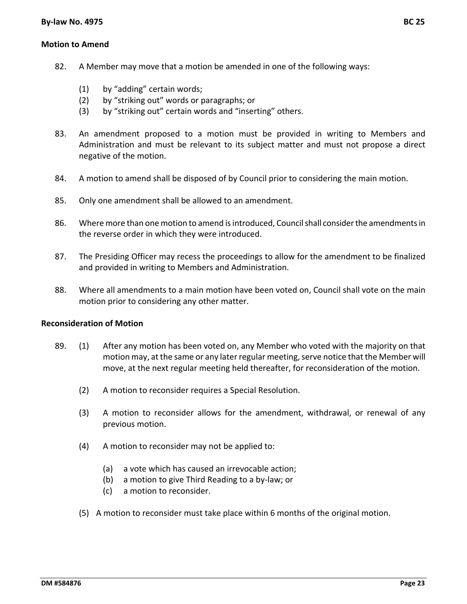#### **Motion to Amend**

- 82. A Member may move that a motion be amended in one of the following ways:
	- (1) by "adding" certain words;
	- (2) by "striking out" words or paragraphs; or
	- (3) by "striking out" certain words and "inserting" others.
- 83. An amendment proposed to a motion must be provided in writing to Members and Administration and must be relevant to its subject matter and must not propose a direct negative of the motion.
- 84. A motion to amend shall be disposed of by Council prior to considering the main motion.
- 85. Only one amendment shall be allowed to an amendment.
- 86. Where more than one motion to amend is introduced, Council shall consider the amendments in the reverse order in which they were introduced.
- 87. The Presiding Officer may recess the proceedings to allow for the amendment to be finalized and provided in writing to Members and Administration.
- 88. Where all amendments to a main motion have been voted on, Council shall vote on the main motion prior to considering any other matter.

#### **Reconsideration of Motion**

- 89. (1) After any motion has been voted on, any Member who voted with the majority on that motion may, at the same or any later regular meeting, serve notice that the Member will move, at the next regular meeting held thereafter, for reconsideration of the motion.
	- (2) A motion to reconsider requires a Special Resolution.
	- (3) A motion to reconsider allows for the amendment, withdrawal, or renewal of any previous motion.
	- (4) A motion to reconsider may not be applied to:
		- (a) a vote which has caused an irrevocable action;
		- (b) a motion to give Third Reading to a by‐law; or
		- (c) a motion to reconsider.
	- (5) A motion to reconsider must take place within 6 months of the original motion.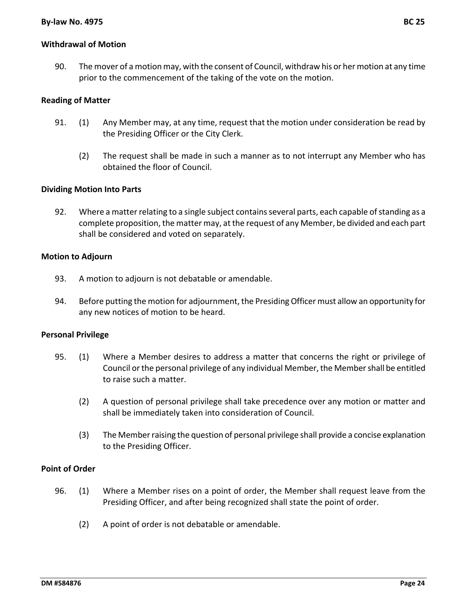# **Withdrawal of Motion**

90. The mover of a motion may, with the consent of Council, withdraw his or her motion at any time prior to the commencement of the taking of the vote on the motion.

#### **Reading of Matter**

- 91. (1) Any Member may, at any time, request that the motion under consideration be read by the Presiding Officer or the City Clerk.
	- (2) The request shall be made in such a manner as to not interrupt any Member who has obtained the floor of Council.

#### **Dividing Motion Into Parts**

92. Where a matter relating to a single subject contains several parts, each capable of standing as a complete proposition, the matter may, at the request of any Member, be divided and each part shall be considered and voted on separately.

#### **Motion to Adjourn**

- 93. A motion to adjourn is not debatable or amendable.
- 94. Before putting the motion for adjournment, the PresidingOfficer must allow an opportunity for any new notices of motion to be heard.

#### **Personal Privilege**

- 95. (1) Where a Member desires to address a matter that concerns the right or privilege of Council orthe personal privilege of any individual Member,the Membershall be entitled to raise such a matter.
	- (2) A question of personal privilege shall take precedence over any motion or matter and shall be immediately taken into consideration of Council.
	- (3) The Memberraising the question of personal privilege shall provide a concise explanation to the Presiding Officer.

#### **Point of Order**

- 96. (1) Where a Member rises on a point of order, the Member shall request leave from the Presiding Officer, and after being recognized shall state the point of order.
	- (2) A point of order is not debatable or amendable.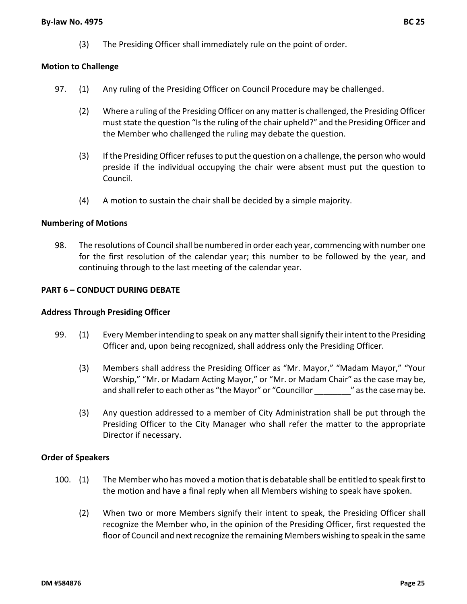(3) The Presiding Officer shall immediately rule on the point of order.

# **Motion to Challenge**

- 97. (1) Any ruling of the Presiding Officer on Council Procedure may be challenged.
	- (2) Where a ruling of the Presiding Officer on any matter is challenged, the Presiding Officer must state the question "Is the ruling of the chair upheld?" and the Presiding Officer and the Member who challenged the ruling may debate the question.
	- (3) If the Presiding Officer refusesto put the question on a challenge, the person who would preside if the individual occupying the chair were absent must put the question to Council.
	- (4) A motion to sustain the chair shall be decided by a simple majority.

#### **Numbering of Motions**

98. The resolutions of Council shall be numbered in order each year, commencing with number one for the first resolution of the calendar year; this number to be followed by the year, and continuing through to the last meeting of the calendar year.

# **PART 6 – CONDUCT DURING DEBATE**

#### **Address Through Presiding Officer**

- 99. (1) Every Member intending to speak on any matter shall signify their intent to the Presiding Officer and, upon being recognized, shall address only the Presiding Officer.
	- (3) Members shall address the Presiding Officer as "Mr. Mayor," "Madam Mayor," "Your Worship," "Mr. or Madam Acting Mayor," or "Mr. or Madam Chair" as the case may be, and shall refer to each other as "the Mayor" or "Councillor "as the case may be.
	- (3) Any question addressed to a member of City Administration shall be put through the Presiding Officer to the City Manager who shall refer the matter to the appropriate Director if necessary.

#### **Order of Speakers**

- 100. (1) The Member who has moved a motion that is debatable shall be entitled to speak firstto the motion and have a final reply when all Members wishing to speak have spoken.
	- (2) When two or more Members signify their intent to speak, the Presiding Officer shall recognize the Member who, in the opinion of the Presiding Officer, first requested the floor of Council and next recognize the remaining Members wishing to speak in the same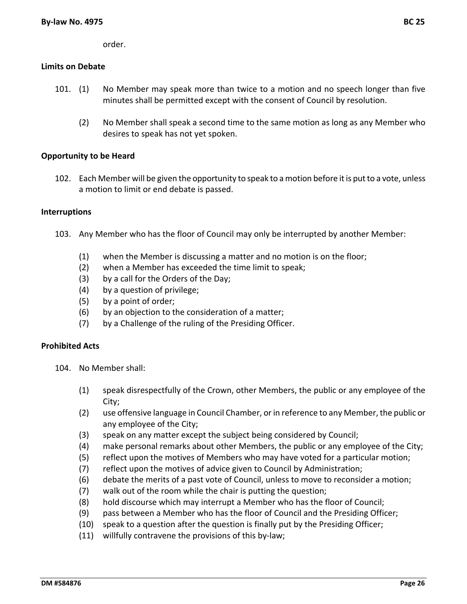order.

#### **Limits on Debate**

- 101. (1) No Member may speak more than twice to a motion and no speech longer than five minutes shall be permitted except with the consent of Council by resolution.
	- (2) No Member shall speak a second time to the same motion as long as any Member who desires to speak has not yet spoken.

#### **Opportunity to be Heard**

102. Each Member will be given the opportunity to speak to a motion before it is put to a vote, unless a motion to limit or end debate is passed.

#### **Interruptions**

- 103. Any Member who has the floor of Council may only be interrupted by another Member:
	- (1) when the Member is discussing a matter and no motion is on the floor;
	- (2) when a Member has exceeded the time limit to speak;
	- (3) by a call for the Orders of the Day;
	- (4) by a question of privilege;
	- (5) by a point of order;
	- (6) by an objection to the consideration of a matter;
	- (7) by a Challenge of the ruling of the Presiding Officer.

#### **Prohibited Acts**

- 104. No Member shall:
	- (1) speak disrespectfully of the Crown, other Members, the public or any employee of the City;
	- (2) use offensive language in Council Chamber, orin reference to any Member, the public or any employee of the City;
	- (3) speak on any matter except the subject being considered by Council;
	- (4) make personal remarks about other Members, the public or any employee of the City;
	- (5) reflect upon the motives of Members who may have voted for a particular motion;
	- (7) reflect upon the motives of advice given to Council by Administration;
	- (6) debate the merits of a past vote of Council, unless to move to reconsider a motion;
	- (7) walk out of the room while the chair is putting the question;
	- (8) hold discourse which may interrupt a Member who has the floor of Council;
	- (9) pass between a Member who has the floor of Council and the Presiding Officer;
	- (10) speak to a question after the question is finally put by the Presiding Officer;
	- (11) willfully contravene the provisions of this by‐law;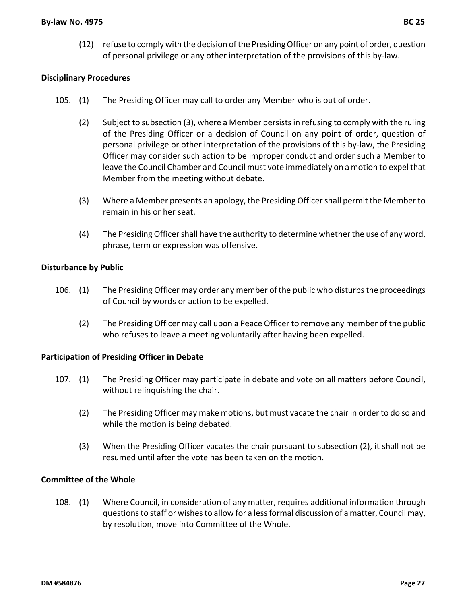(12) refuse to comply with the decision ofthe PresidingOfficer on any point of order, question of personal privilege or any other interpretation of the provisions of this by‐law.

# **Disciplinary Procedures**

- 105. (1) The Presiding Officer may call to order any Member who is out of order.
	- (2) Subject to subsection (3), where a Member persistsin refusing to comply with the ruling of the Presiding Officer or a decision of Council on any point of order, question of personal privilege or other interpretation of the provisions of this by‐law, the Presiding Officer may consider such action to be improper conduct and order such a Member to leave the Council Chamber and Council must vote immediately on a motion to expelthat Member from the meeting without debate.
	- (3) Where a Member presents an apology, the Presiding Officershall permit the Member to remain in his or her seat.
	- (4) The Presiding Officer shall have the authority to determine whether the use of any word, phrase, term or expression was offensive.

#### **Disturbance by Public**

- 106. (1) The Presiding Officer may order any member of the public who disturbs the proceedings of Council by words or action to be expelled.
	- (2) The Presiding Officer may call upon a Peace Officer to remove any member of the public who refuses to leave a meeting voluntarily after having been expelled.

#### **Participation of Presiding Officer in Debate**

- 107. (1) The Presiding Officer may participate in debate and vote on all matters before Council, without relinquishing the chair.
	- (2) The Presiding Officer may make motions, but must vacate the chair in order to do so and while the motion is being debated.
	- (3) When the Presiding Officer vacates the chair pursuant to subsection (2), it shall not be resumed until after the vote has been taken on the motion.

#### **Committee of the Whole**

108. (1) Where Council, in consideration of any matter, requires additional information through questionsto staff or wishesto allow for a lessformal discussion of a matter, Council may, by resolution, move into Committee of the Whole.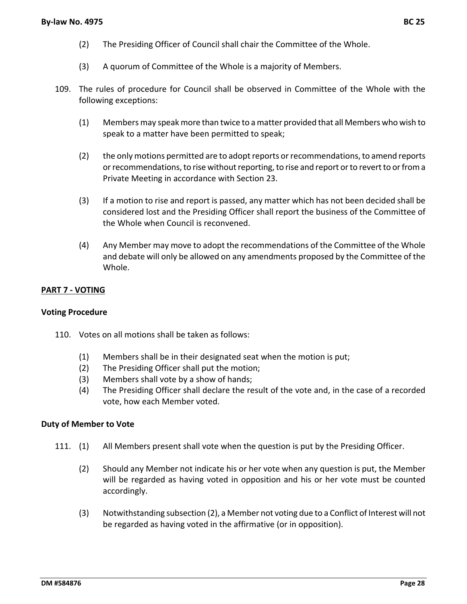- (2) The Presiding Officer of Council shall chair the Committee of the Whole.
- (3) A quorum of Committee of the Whole is a majority of Members.
- 109. The rules of procedure for Council shall be observed in Committee of the Whole with the following exceptions:
	- (1) Members may speak more than twice to a matter provided that all Members who wish to speak to a matter have been permitted to speak;
	- (2) the only motions permitted are to adopt reports or recommendations, to amend reports or recommendations, to rise without reporting, to rise and report or to revert to or from a Private Meeting in accordance with Section 23.
	- (3) If a motion to rise and report is passed, any matter which has not been decided shall be considered lost and the Presiding Officer shall report the business of the Committee of the Whole when Council is reconvened.
	- (4) Any Member may move to adopt the recommendations of the Committee of the Whole and debate will only be allowed on any amendments proposed by the Committee of the Whole.

#### **PART 7 ‐ VOTING**

#### **Voting Procedure**

- 110. Votes on all motions shall be taken as follows:
	- (1) Members shall be in their designated seat when the motion is put;
	- (2) The Presiding Officer shall put the motion;
	- (3) Members shall vote by a show of hands;
	- (4) The Presiding Officer shall declare the result of the vote and, in the case of a recorded vote, how each Member voted.

#### **Duty of Member to Vote**

- 111. (1) All Members present shall vote when the question is put by the Presiding Officer.
	- (2) Should any Member not indicate his or her vote when any question is put, the Member will be regarded as having voted in opposition and his or her vote must be counted accordingly.
	- (3) Notwithstanding subsection (2), a Member not voting due to a Conflict of Interest will not be regarded as having voted in the affirmative (or in opposition).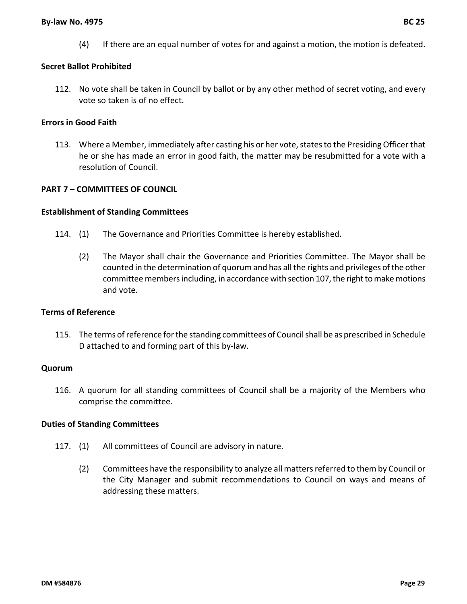#### **By‐law No. 4975 BC 25**

# **Secret Ballot Prohibited**

112. No vote shall be taken in Council by ballot or by any other method of secret voting, and every vote so taken is of no effect.

# **Errors in Good Faith**

113. Where a Member, immediately after casting his or her vote, states to the Presiding Officer that he or she has made an error in good faith, the matter may be resubmitted for a vote with a resolution of Council.

# **PART 7 – COMMITTEES OF COUNCIL**

#### **Establishment of Standing Committees**

- 114. (1) The Governance and Priorities Committee is hereby established.
	- (2) The Mayor shall chair the Governance and Priorities Committee. The Mayor shall be counted in the determination of quorum and has all the rights and privileges ofthe other committee members including, in accordance with section 107, the right to make motions and vote.

#### **Terms of Reference**

115. The terms ofreference forthe standing committees of Councilshall be as prescribed in Schedule D attached to and forming part of this by‐law.

#### **Quorum**

116. A quorum for all standing committees of Council shall be a majority of the Members who comprise the committee.

#### **Duties of Standing Committees**

- 117. (1) All committees of Council are advisory in nature.
	- (2) Committees have the responsibility to analyze all matters referred to them by Council or the City Manager and submit recommendations to Council on ways and means of addressing these matters.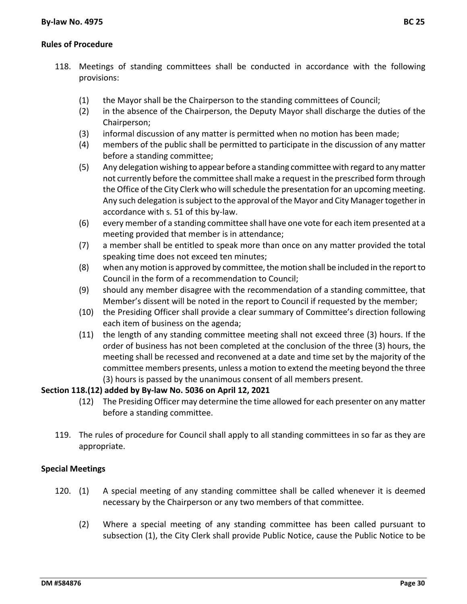- 118. Meetings of standing committees shall be conducted in accordance with the following provisions:
	- (1) the Mayor shall be the Chairperson to the standing committees of Council;
	- (2) in the absence of the Chairperson, the Deputy Mayor shall discharge the duties of the Chairperson;
	- (3) informal discussion of any matter is permitted when no motion has been made;
	- (4) members of the public shall be permitted to participate in the discussion of any matter before a standing committee;
	- (5) Any delegation wishing to appear before a standing committee with regard to any matter not currently before the committee shall make a request in the prescribed form through the Office of the City Clerk who will schedule the presentation for an upcoming meeting. Any such delegation is subject to the approval of the Mayor and City Manager together in accordance with s. 51 of this by‐law.
	- (6) every member of a standing committee shall have one vote for each item presented at a meeting provided that member is in attendance;
	- (7) a member shall be entitled to speak more than once on any matter provided the total speaking time does not exceed ten minutes;
	- (8) when any motion is approved by committee, the motion shall be included in the report to Council in the form of a recommendation to Council;
	- (9) should any member disagree with the recommendation of a standing committee, that Member's dissent will be noted in the report to Council if requested by the member;
	- (10) the Presiding Officer shall provide a clear summary of Committee's direction following each item of business on the agenda;
	- (11) the length of any standing committee meeting shall not exceed three (3) hours. If the order of business has not been completed at the conclusion of the three (3) hours, the meeting shall be recessed and reconvened at a date and time set by the majority of the committee members presents, unless a motion to extend the meeting beyond the three (3) hours is passed by the unanimous consent of all members present.

# **Section 118.(12) added by By‐law No. 5036 on April 12, 2021**

- (12) The Presiding Officer may determine the time allowed for each presenter on any matter before a standing committee.
- 119. The rules of procedure for Council shall apply to all standing committees in so far as they are appropriate.

#### **Special Meetings**

- 120. (1) A special meeting of any standing committee shall be called whenever it is deemed necessary by the Chairperson or any two members of that committee.
	- (2) Where a special meeting of any standing committee has been called pursuant to subsection (1), the City Clerk shall provide Public Notice, cause the Public Notice to be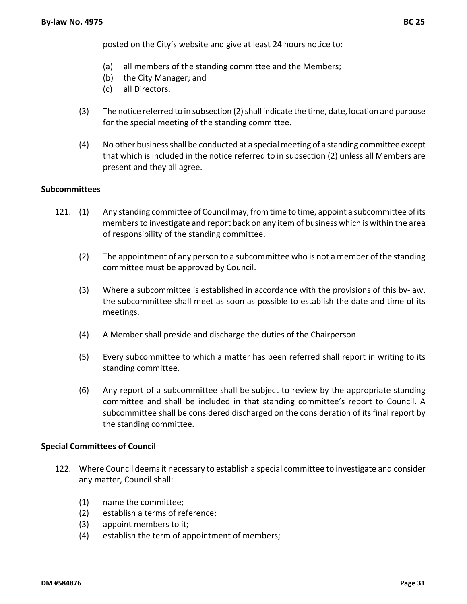- (a) all members of the standing committee and the Members;
- (b) the City Manager; and
- (c) all Directors.
- (3) The notice referred to in subsection (2) shall indicate the time, date, location and purpose for the special meeting of the standing committee.
- (4) No other businessshall be conducted at a special meeting of a standing committee except that which is included in the notice referred to in subsection (2) unless all Members are present and they all agree.

#### **Subcommittees**

- 121. (1) Any standing committee of Council may, from time to time, appoint a subcommittee ofits membersto investigate and report back on any item of business which is within the area of responsibility of the standing committee.
	- (2) The appointment of any person to a subcommittee who is not a member of the standing committee must be approved by Council.
	- (3) Where a subcommittee is established in accordance with the provisions of this by‐law, the subcommittee shall meet as soon as possible to establish the date and time of its meetings.
	- (4) A Member shall preside and discharge the duties of the Chairperson.
	- (5) Every subcommittee to which a matter has been referred shall report in writing to its standing committee.
	- (6) Any report of a subcommittee shall be subject to review by the appropriate standing committee and shall be included in that standing committee's report to Council. A subcommittee shall be considered discharged on the consideration of its final report by the standing committee.

#### **Special Committees of Council**

- 122. Where Council deems it necessary to establish a special committee to investigate and consider any matter, Council shall:
	- (1) name the committee;
	- (2) establish a terms of reference;
	- (3) appoint members to it;
	- (4) establish the term of appointment of members;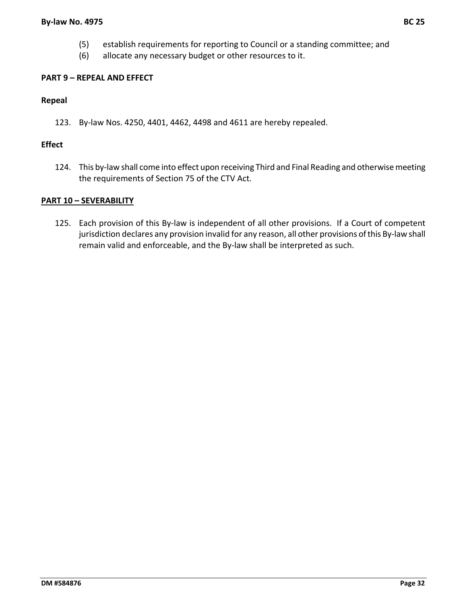- (5) establish requirements for reporting to Council or a standing committee; and
- (6) allocate any necessary budget or other resources to it.

#### **PART 9 – REPEAL AND EFFECT**

#### **Repeal**

123. By‐law Nos. 4250, 4401, 4462, 4498 and 4611 are hereby repealed.

#### **Effect**

124. This by-law shall come into effect upon receiving Third and Final Reading and otherwise meeting the requirements of Section 75 of the CTV Act*.*

#### **PART 10 – SEVERABILITY**

125. Each provision of this By‐law is independent of all other provisions. If a Court of competent jurisdiction declares any provision invalid for any reason, all other provisions of this By-law shall remain valid and enforceable, and the By‐law shall be interpreted as such.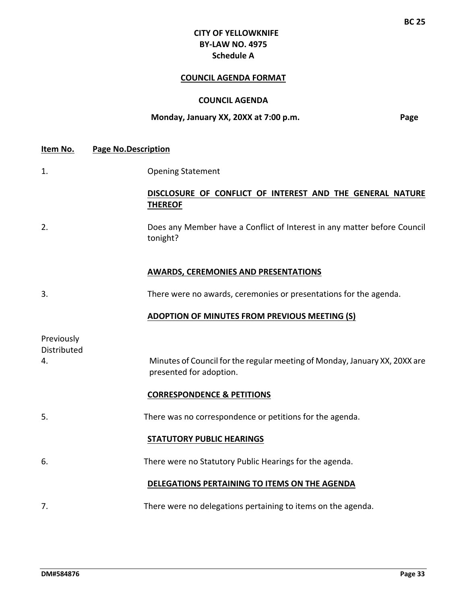# **CITY OF YELLOWKNIFE BY‐LAW NO. 4975 Schedule A**

## **COUNCIL AGENDA FORMAT**

#### **COUNCIL AGENDA**

#### **Monday, January XX, 20XX at 7:00 p.m. Page**

1. Opening Statement

#### **DISCLOSURE OF CONFLICT OF INTEREST AND THE GENERAL NATURE THEREOF**

2. Does any Member have a Conflict of Interest in any matter before Council tonight?

#### **AWARDS, CEREMONIES AND PRESENTATIONS**

3. There were no awards, ceremonies or presentations for the agenda.

#### **ADOPTION OF MINUTES FROM PREVIOUS MEETING (S)**

| Previously<br>Distributed |                                                                                                       |
|---------------------------|-------------------------------------------------------------------------------------------------------|
| 4.                        | Minutes of Council for the regular meeting of Monday, January XX, 20XX are<br>presented for adoption. |
|                           | <b>CORRESPONDENCE &amp; PETITIONS</b>                                                                 |
| 5.                        | There was no correspondence or petitions for the agenda.                                              |
|                           | <b>STATUTORY PUBLIC HEARINGS</b>                                                                      |
| 6.                        | There were no Statutory Public Hearings for the agenda.                                               |
|                           | DELEGATIONS PERTAINING TO ITEMS ON THE AGENDA                                                         |
| 7.                        | There were no delegations pertaining to items on the agenda.                                          |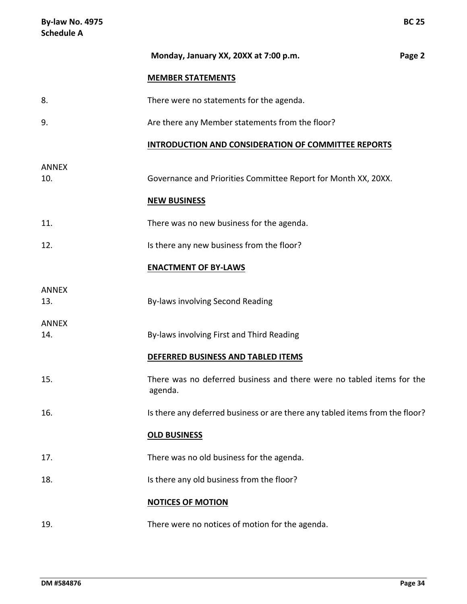|                     | Monday, January XX, 20XX at 7:00 p.m.                                            |  |  |  |  |  |
|---------------------|----------------------------------------------------------------------------------|--|--|--|--|--|
|                     | <b>MEMBER STATEMENTS</b>                                                         |  |  |  |  |  |
| 8.                  | There were no statements for the agenda.                                         |  |  |  |  |  |
| 9.                  | Are there any Member statements from the floor?                                  |  |  |  |  |  |
|                     | INTRODUCTION AND CONSIDERATION OF COMMITTEE REPORTS                              |  |  |  |  |  |
| <b>ANNEX</b><br>10. | Governance and Priorities Committee Report for Month XX, 20XX.                   |  |  |  |  |  |
|                     | <b>NEW BUSINESS</b>                                                              |  |  |  |  |  |
| 11.                 | There was no new business for the agenda.                                        |  |  |  |  |  |
| 12.                 | Is there any new business from the floor?                                        |  |  |  |  |  |
|                     | <b>ENACTMENT OF BY-LAWS</b>                                                      |  |  |  |  |  |
| <b>ANNEX</b><br>13. | By-laws involving Second Reading                                                 |  |  |  |  |  |
| <b>ANNEX</b><br>14. | By-laws involving First and Third Reading                                        |  |  |  |  |  |
|                     | DEFERRED BUSINESS AND TABLED ITEMS                                               |  |  |  |  |  |
| 15.                 | There was no deferred business and there were no tabled items for the<br>agenda. |  |  |  |  |  |
| 16.                 | Is there any deferred business or are there any tabled items from the floor?     |  |  |  |  |  |
|                     | <b>OLD BUSINESS</b>                                                              |  |  |  |  |  |
| 17.                 | There was no old business for the agenda.                                        |  |  |  |  |  |
| 18.                 | Is there any old business from the floor?                                        |  |  |  |  |  |
|                     | <b>NOTICES OF MOTION</b>                                                         |  |  |  |  |  |
| 19.                 | There were no notices of motion for the agenda.                                  |  |  |  |  |  |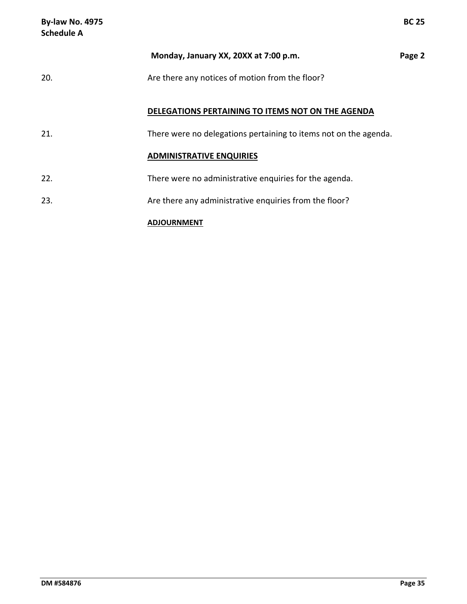| <b>By-law No. 4975</b><br><b>Schedule A</b> |                                                                  | <b>BC 25</b> |
|---------------------------------------------|------------------------------------------------------------------|--------------|
|                                             | Monday, January XX, 20XX at 7:00 p.m.                            | Page 2       |
| 20.                                         | Are there any notices of motion from the floor?                  |              |
|                                             | DELEGATIONS PERTAINING TO ITEMS NOT ON THE AGENDA                |              |
| 21.                                         | There were no delegations pertaining to items not on the agenda. |              |
|                                             | <b>ADMINISTRATIVE ENQUIRIES</b>                                  |              |
| 22.                                         | There were no administrative enquiries for the agenda.           |              |
| 23.                                         | Are there any administrative enquiries from the floor?           |              |
|                                             | <b>ADJOURNMENT</b>                                               |              |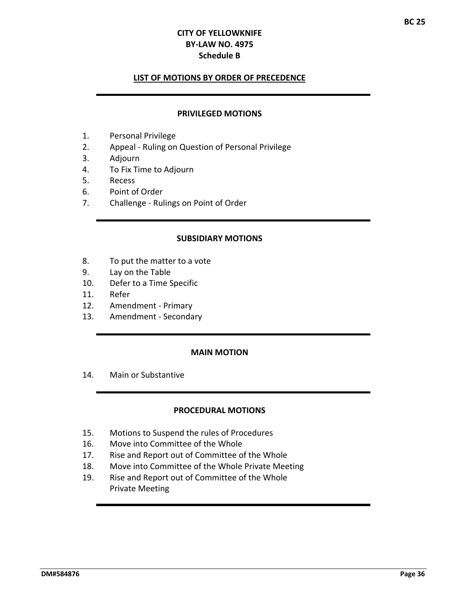#### **Schedule B**

#### **LIST OF MOTIONS BY ORDER OF PRECEDENCE**

#### **PRIVILEGED MOTIONS**

- 1. Personal Privilege
- 2. Appeal ‐ Ruling on Question of Personal Privilege
- 3. Adjourn
- 4. To Fix Time to Adjourn
- 5. Recess
- 6. Point of Order
- 7. Challenge ‐ Rulings on Point of Order

#### **SUBSIDIARY MOTIONS**

- 8. To put the matter to a vote
- 9. Lay on the Table
- 10. Defer to a Time Specific
- 11. Refer
- 12. Amendment ‐ Primary
- 13. Amendment Secondary

#### **MAIN MOTION**

14. Main or Substantive

#### **PROCEDURAL MOTIONS**

- 15. Motions to Suspend the rules of Procedures
- 16. Move into Committee of the Whole
- 17. Rise and Report out of Committee of the Whole
- 18. Move into Committee of the Whole Private Meeting
- 19. Rise and Report out of Committee of the Whole Private Meeting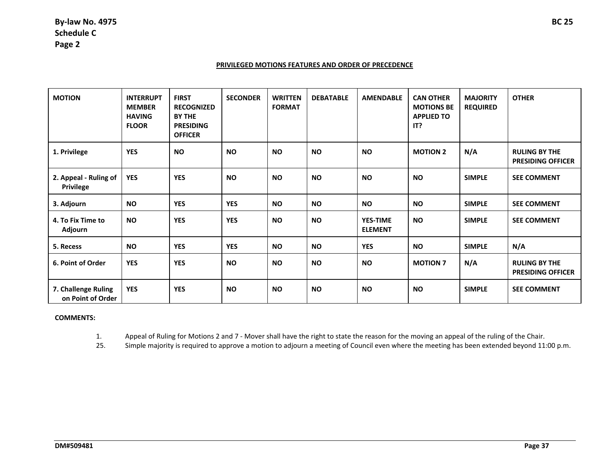#### **PRIVILEGED MOTIONS FEATURES AND ORDER OF PRECEDENCE**

| <b>MOTION</b>                            | <b>INTERRUPT</b><br><b>MEMBER</b><br><b>HAVING</b><br><b>FLOOR</b> | <b>FIRST</b><br><b>RECOGNIZED</b><br><b>BY THE</b><br><b>PRESIDING</b><br><b>OFFICER</b> | <b>SECONDER</b> | <b>WRITTEN</b><br><b>FORMAT</b> | <b>DEBATABLE</b> | <b>AMENDABLE</b>                  | <b>CAN OTHER</b><br><b>MOTIONS BE</b><br><b>APPLIED TO</b><br>IT? | <b>MAJORITY</b><br><b>REQUIRED</b> | <b>OTHER</b>                                     |
|------------------------------------------|--------------------------------------------------------------------|------------------------------------------------------------------------------------------|-----------------|---------------------------------|------------------|-----------------------------------|-------------------------------------------------------------------|------------------------------------|--------------------------------------------------|
| 1. Privilege                             | <b>YES</b>                                                         | <b>NO</b>                                                                                | <b>NO</b>       | <b>NO</b>                       | <b>NO</b>        | <b>NO</b>                         | <b>MOTION 2</b>                                                   | N/A                                | <b>RULING BY THE</b><br><b>PRESIDING OFFICER</b> |
| 2. Appeal - Ruling of<br>Privilege       | <b>YES</b>                                                         | <b>YES</b>                                                                               | <b>NO</b>       | <b>NO</b>                       | <b>NO</b>        | <b>NO</b>                         | <b>NO</b>                                                         | <b>SIMPLE</b>                      | <b>SEE COMMENT</b>                               |
| 3. Adjourn                               | <b>NO</b>                                                          | <b>YES</b>                                                                               | <b>YES</b>      | <b>NO</b>                       | <b>NO</b>        | <b>NO</b>                         | <b>NO</b>                                                         | <b>SIMPLE</b>                      | <b>SEE COMMENT</b>                               |
| 4. To Fix Time to<br>Adjourn             | <b>NO</b>                                                          | <b>YES</b>                                                                               | <b>YES</b>      | <b>NO</b>                       | <b>NO</b>        | <b>YES-TIME</b><br><b>ELEMENT</b> | <b>NO</b>                                                         | <b>SIMPLE</b>                      | <b>SEE COMMENT</b>                               |
| 5. Recess                                | <b>NO</b>                                                          | <b>YES</b>                                                                               | <b>YES</b>      | <b>NO</b>                       | <b>NO</b>        | <b>YES</b>                        | <b>NO</b>                                                         | <b>SIMPLE</b>                      | N/A                                              |
| 6. Point of Order                        | <b>YES</b>                                                         | <b>YES</b>                                                                               | <b>NO</b>       | <b>NO</b>                       | <b>NO</b>        | <b>NO</b>                         | <b>MOTION 7</b>                                                   | N/A                                | <b>RULING BY THE</b><br><b>PRESIDING OFFICER</b> |
| 7. Challenge Ruling<br>on Point of Order | <b>YES</b>                                                         | <b>YES</b>                                                                               | <b>NO</b>       | <b>NO</b>                       | <b>NO</b>        | <b>NO</b>                         | <b>NO</b>                                                         | <b>SIMPLE</b>                      | <b>SEE COMMENT</b>                               |

#### **COMMENTS:**

1.Appeal of Ruling for Motions 2 and 7 ‐ Mover shall have the right to state the reason for the moving an appeal of the ruling of the Chair.

25.Simple majority is required to approve <sup>a</sup> motion to adjourn <sup>a</sup> meeting of Council even where the meeting has been extended beyond 11:00 p.m.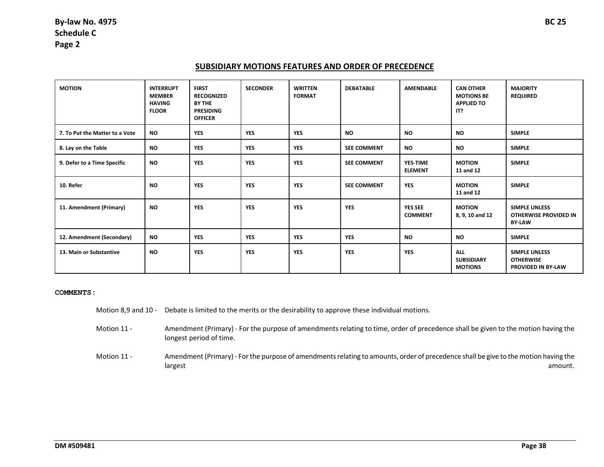#### **SUBSIDIARY MOTIONS FEATURES AND ORDER OF PRECEDENCE**

| <b>MOTION</b>                  | <b>INTERRUPT</b><br><b>MEMBER</b><br><b>HAVING</b><br><b>FLOOR</b> | <b>FIRST</b><br><b>RECOGNIZED</b><br><b>BY THE</b><br><b>PRESIDING</b><br><b>OFFICER</b> | <b>SECONDER</b> | <b>WRITTEN</b><br><b>FORMAT</b> | <b>DEBATABLE</b>   | <b>AMENDABLE</b>                 | <b>CAN OTHER</b><br><b>MOTIONS BE</b><br><b>APPLIED TO</b><br>IT? | <b>MAJORITY</b><br><b>REQUIRED</b>                                    |
|--------------------------------|--------------------------------------------------------------------|------------------------------------------------------------------------------------------|-----------------|---------------------------------|--------------------|----------------------------------|-------------------------------------------------------------------|-----------------------------------------------------------------------|
| 7. To Put the Matter to a Vote | <b>NO</b>                                                          | <b>YES</b>                                                                               | <b>YES</b>      | <b>YES</b>                      | <b>NO</b>          | <b>NO</b>                        | <b>NO</b>                                                         | <b>SIMPLE</b>                                                         |
| 8. Lay on the Table            | <b>NO</b>                                                          | <b>YES</b>                                                                               | <b>YES</b>      | <b>YES</b>                      | <b>SEE COMMENT</b> | <b>NO</b>                        | <b>NO</b>                                                         | <b>SIMPLE</b>                                                         |
| 9. Defer to a Time Specific    | <b>NO</b>                                                          | <b>YES</b>                                                                               | <b>YES</b>      | <b>YES</b>                      | <b>SEE COMMENT</b> | YES-TIME<br><b>ELEMENT</b>       | <b>MOTION</b><br>11 and 12                                        | <b>SIMPLE</b>                                                         |
| 10. Refer                      | <b>NO</b>                                                          | <b>YES</b>                                                                               | <b>YES</b>      | <b>YES</b>                      | <b>SEE COMMENT</b> | <b>YES</b>                       | <b>MOTION</b><br>11 and 12                                        | <b>SIMPLE</b>                                                         |
| 11. Amendment (Primary)        | <b>NO</b>                                                          | <b>YES</b>                                                                               | <b>YES</b>      | <b>YES</b>                      | <b>YES</b>         | <b>YES SEE</b><br><b>COMMENT</b> | <b>MOTION</b><br>8, 9, 10 and 12                                  | <b>SIMPLE UNLESS</b><br><b>OTHERWISE PROVIDED IN</b><br><b>BY-LAW</b> |
| 12. Amendment (Secondary)      | <b>NO</b>                                                          | <b>YES</b>                                                                               | <b>YES</b>      | <b>YES</b>                      | <b>YES</b>         | <b>NO</b>                        | <b>NO</b>                                                         | <b>SIMPLE</b>                                                         |
| 13. Main or Substantive        | <b>NO</b>                                                          | <b>YES</b>                                                                               | <b>YES</b>      | <b>YES</b>                      | <b>YES</b>         | <b>YES</b>                       | <b>ALL</b><br><b>SUBSIDIARY</b><br><b>MOTIONS</b>                 | <b>SIMPLE UNLESS</b><br><b>OTHERWISE</b><br><b>PROVIDED IN BY-LAW</b> |

#### **COMMENTS:**

- Motion 8,9 and 10 ‐ Debate is limited to the merits or the desirability to approve these individual motions.
- Motion 11 -Amendment (Primary) - For the purpose of amendments relating to time, order of precedence shall be given to the motion having the longest period of time.
- Motion 11 -Amendment (Primary) - For the purpose of amendments relating to amounts, order of precedence shall be give to the motion having the largest amount.